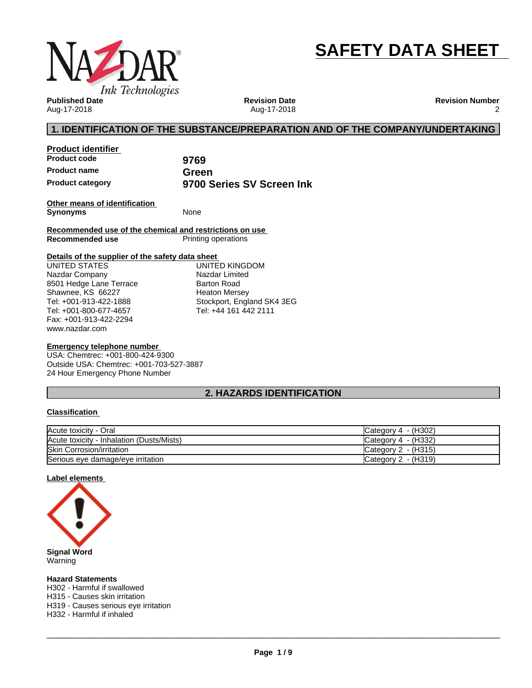

# **SAFETY DATA SHEET**

**Published Date** Aug-17-2018

**Product identifier**

**Revision Date** Aug-17-2018 **Revision Number** 2

# **1. IDENTIFICATION OF THE SUBSTANCE/PREPARATION AND OF THE COMPANY/UNDERTAKING**

| Proquet identifier      |                           |
|-------------------------|---------------------------|
| <b>Product code</b>     | 9769                      |
| <b>Product name</b>     | Green                     |
| <b>Product category</b> | 9700 Series SV Screen Ink |

**Other means of identification Synonyms** None

**Recommended use of the chemical and restrictions on use Printing operations** 

#### **Details of the supplier of the safety data sheet**

www.nazdar.com UNITED STATES Nazdar Company 8501 Hedge Lane Terrace Shawnee, KS 66227 Tel: +001-913-422-1888 Tel: +001-800-677-4657 Fax: +001-913-422-2294

UNITED KINGDOM Nazdar Limited Barton Road Heaton Mersey Stockport, England SK4 3EG Tel: +44 161 442 2111

#### **Emergency telephone number**

USA: Chemtrec: +001-800-424-9300 Outside USA: Chemtrec: +001-703-527-3887 24 Hour Emergency Phone Number

# **2. HAZARDS IDENTIFICATION**

#### **Classification**

| Acute toxicity - Oral                     | Category $4 - (H302)$ |
|-------------------------------------------|-----------------------|
| Acute toxicity - Inhalation (Dusts/Mists) | Category $4 - (H332)$ |
| <b>Skin Corrosion/irritation</b>          | Category 2 - (H315)   |
| Serious eye damage/eye irritation         | Category 2 - (H319)   |

#### **Label elements**



Warning

**Hazard Statements**

H302 - Harmful if swallowed

H315 - Causes skin irritation

H319 - Causes serious eye irritation

H332 - Harmful if inhaled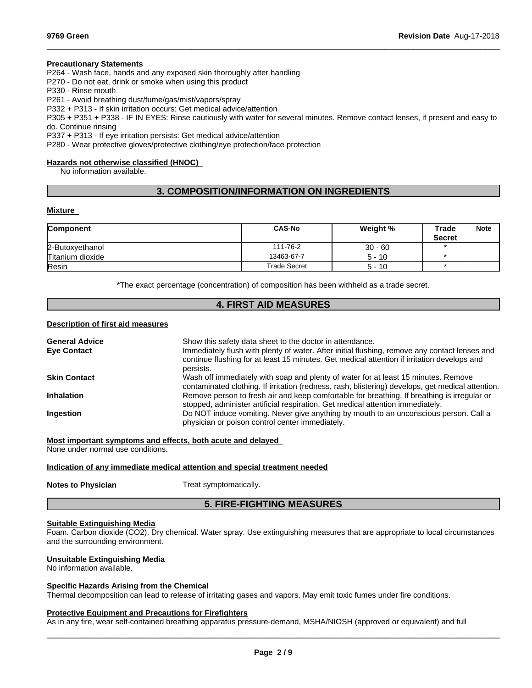#### **Precautionary Statements**

P264 - Wash face, hands and any exposed skin thoroughly after handling

P270 - Do not eat, drink or smoke when using this product

P330 - Rinse mouth

P261 - Avoid breathing dust/fume/gas/mist/vapors/spray

P332 + P313 - If skin irritation occurs: Get medical advice/attention

P305 + P351 + P338 - IF IN EYES: Rinse cautiously with water forseveral minutes. Remove contact lenses, if present and easy to do. Continue rinsing

 $\_$  ,  $\_$  ,  $\_$  ,  $\_$  ,  $\_$  ,  $\_$  ,  $\_$  ,  $\_$  ,  $\_$  ,  $\_$  ,  $\_$  ,  $\_$  ,  $\_$  ,  $\_$  ,  $\_$  ,  $\_$  ,  $\_$  ,  $\_$  ,  $\_$  ,  $\_$  ,  $\_$  ,  $\_$  ,  $\_$  ,  $\_$  ,  $\_$  ,  $\_$  ,  $\_$  ,  $\_$  ,  $\_$  ,  $\_$  ,  $\_$  ,  $\_$  ,  $\_$  ,  $\_$  ,  $\_$  ,  $\_$  ,  $\_$  ,

P337 + P313 - If eye irritation persists: Get medical advice/attention

P280 - Wear protective gloves/protective clothing/eye protection/face protection

## **Hazards not otherwise classified (HNOC)**

No information available.

# **3. COMPOSITION/INFORMATION ON INGREDIENTS**

#### **Mixture**

| Component        | <b>CAS-No</b> | Weight %  | Trade<br><b>Secret</b> | <b>Note</b> |
|------------------|---------------|-----------|------------------------|-------------|
| 2-Butoxyethanol  | 111-76-2      | $30 - 60$ |                        |             |
| Titanium dioxide | 13463-67-7    | $5 - 10$  |                        |             |
| Resin            | Trade Secret  | $5 - 10$  |                        |             |

\*The exact percentage (concentration) of composition has been withheld as a trade secret.

# **4. FIRST AID MEASURES**

#### **Description of first aid measures**

| <b>General Advice</b> | Show this safety data sheet to the doctor in attendance.                                                                                                                                                  |
|-----------------------|-----------------------------------------------------------------------------------------------------------------------------------------------------------------------------------------------------------|
| <b>Eye Contact</b>    | Immediately flush with plenty of water. After initial flushing, remove any contact lenses and<br>continue flushing for at least 15 minutes. Get medical attention if irritation develops and<br>persists. |
| <b>Skin Contact</b>   | Wash off immediately with soap and plenty of water for at least 15 minutes. Remove<br>contaminated clothing. If irritation (redness, rash, blistering) develops, get medical attention.                   |
| <b>Inhalation</b>     | Remove person to fresh air and keep comfortable for breathing. If breathing is irregular or<br>stopped, administer artificial respiration. Get medical attention immediately.                             |
| <b>Ingestion</b>      | Do NOT induce vomiting. Never give anything by mouth to an unconscious person. Call a<br>physician or poison control center immediately.                                                                  |

**Most important symptoms and effects, both acute and delayed**

None under normal use conditions.

#### **Indication of any immediate medical attention and special treatment needed**

**Notes to Physician** Treat symptomatically.

# **5. FIRE-FIGHTING MEASURES**

#### **Suitable Extinguishing Media**

Foam. Carbon dioxide (CO2). Dry chemical. Water spray. Use extinguishing measures that are appropriate to local circumstances and the surrounding environment.

#### **Unsuitable Extinguishing Media**

No information available.

#### **Specific Hazards Arising from the Chemical**

Thermal decomposition can lead to release of irritating gases and vapors. May emit toxic fumes under fire conditions.

#### **Protective Equipment and Precautions for Firefighters**

As in any fire, wear self-contained breathing apparatus pressure-demand, MSHA/NIOSH (approved or equivalent) and full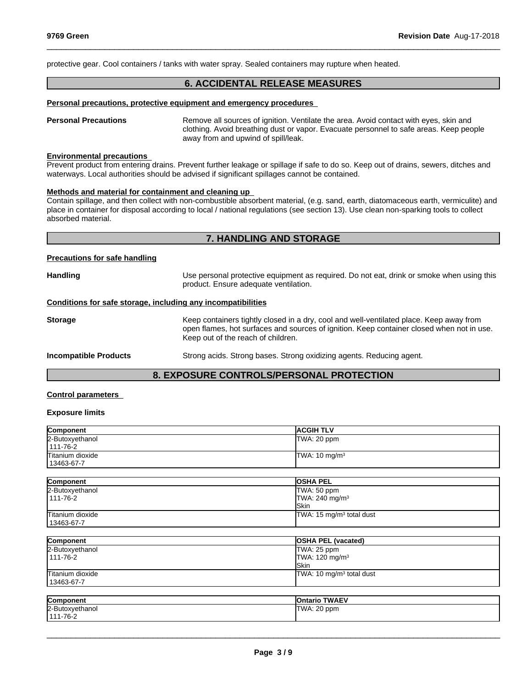protective gear. Cool containers / tanks with water spray. Sealed containers may rupture when heated.

# **6. ACCIDENTAL RELEASE MEASURES**

 $\_$  ,  $\_$  ,  $\_$  ,  $\_$  ,  $\_$  ,  $\_$  ,  $\_$  ,  $\_$  ,  $\_$  ,  $\_$  ,  $\_$  ,  $\_$  ,  $\_$  ,  $\_$  ,  $\_$  ,  $\_$  ,  $\_$  ,  $\_$  ,  $\_$  ,  $\_$  ,  $\_$  ,  $\_$  ,  $\_$  ,  $\_$  ,  $\_$  ,  $\_$  ,  $\_$  ,  $\_$  ,  $\_$  ,  $\_$  ,  $\_$  ,  $\_$  ,  $\_$  ,  $\_$  ,  $\_$  ,  $\_$  ,  $\_$  ,

#### **Personal precautions, protective equipment and emergency procedures**

**Personal Precautions** Remove all sources of ignition. Ventilate the area. Avoid contact with eyes, skin and clothing. Avoid breathing dust or vapor. Evacuate personnel to safe areas. Keep people away from and upwind of spill/leak.

## **Environmental precautions**

Prevent product from entering drains. Prevent further leakage or spillage if safe to do so. Keep out of drains, sewers, ditches and waterways. Local authorities should be advised if significant spillages cannot be contained.

#### **Methods and material for containment and cleaning up**

Contain spillage, and then collect with non-combustible absorbent material, (e.g. sand, earth, diatomaceous earth, vermiculite) and place in container for disposal according to local / national regulations (see section 13). Use clean non-sparking tools to collect absorbed material.

# **7. HANDLING AND STORAGE**

#### **Precautions for safe handling**

| <b>Handling</b>                                              | Use personal protective equipment as required. Do not eat, drink or smoke when using this<br>product. Ensure adequate ventilation.                                                                                         |
|--------------------------------------------------------------|----------------------------------------------------------------------------------------------------------------------------------------------------------------------------------------------------------------------------|
| Conditions for safe storage, including any incompatibilities |                                                                                                                                                                                                                            |
| <b>Storage</b>                                               | Keep containers tightly closed in a dry, cool and well-ventilated place. Keep away from<br>open flames, hot surfaces and sources of ignition. Keep container closed when not in use.<br>Keep out of the reach of children. |
| <b>Incompatible Products</b>                                 | Strong acids. Strong bases. Strong oxidizing agents. Reducing agent.                                                                                                                                                       |

# **8. EXPOSURE CONTROLS/PERSONAL PROTECTION**

## **Control parameters**

#### **Exposure limits**

| Component                      | <b>ACGIH TLV</b>                            |
|--------------------------------|---------------------------------------------|
| 2-Butoxyethanol<br>111-76-2    | TWA: 20 ppm                                 |
| Titanium dioxide<br>13463-67-7 | TWA: 10 mg/m <sup>3</sup>                   |
| Component                      | <b>OSHA PEL</b>                             |
| 2-Butoxyethanol                | TWA: 50 ppm                                 |
| 111-76-2                       | TWA: 240 mg/m <sup>3</sup><br><b>I</b> Skin |
| Titanium dioxide<br>13463-67-7 | TWA: 15 mg/m <sup>3</sup> total dust        |
|                                |                                             |
| Component                      | <b>OSHA PEL (vacated)</b>                   |
| $2-$ Rutovyathanol             | $TMAB.25$ npm                               |

| 2-Butoxyethanol  | TWA: 25 ppm                |
|------------------|----------------------------|
| 111-76-2         | TWA: $120 \text{ mg/m}^3$  |
|                  | <b>I</b> Skin              |
| Titanium dioxide | $TWA: 10 mg/m3$ total dust |
| 13463-67-7       |                            |
|                  |                            |
| Component        | <b>Ontario TWAEV</b>       |
| 2-Butoxyethanol  | TWA: 20 ppm                |
| $111 - 76 - 2$   |                            |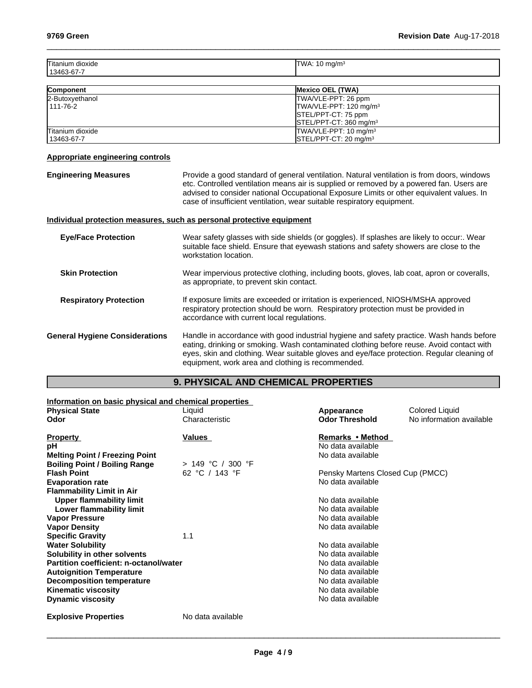| Titanium<br>. dioxide<br>13463-67-7 | ma/m<br>, הו<br>ັ |
|-------------------------------------|-------------------|
|                                     |                   |

 $\_$  ,  $\_$  ,  $\_$  ,  $\_$  ,  $\_$  ,  $\_$  ,  $\_$  ,  $\_$  ,  $\_$  ,  $\_$  ,  $\_$  ,  $\_$  ,  $\_$  ,  $\_$  ,  $\_$  ,  $\_$  ,  $\_$  ,  $\_$  ,  $\_$  ,  $\_$  ,  $\_$  ,  $\_$  ,  $\_$  ,  $\_$  ,  $\_$  ,  $\_$  ,  $\_$  ,  $\_$  ,  $\_$  ,  $\_$  ,  $\_$  ,  $\_$  ,  $\_$  ,  $\_$  ,  $\_$  ,  $\_$  ,  $\_$  ,

| <b>Component</b> | <b>Mexico OEL (TWA)</b>            |
|------------------|------------------------------------|
| 2-Butoxyethanol  | TWA/VLE-PPT: 26 ppm                |
| 1111-76-2        | TWA/VLE-PPT: 120 mg/m <sup>3</sup> |
|                  | STEL/PPT-CT: 75 ppm                |
|                  | STEL/PPT-CT: 360 mg/m <sup>3</sup> |
| Titanium dioxide | TWA/VLE-PPT: 10 mg/m <sup>3</sup>  |
| 13463-67-7       | $\textsf{ISTEL/PPT-CT: 20 mq/m}^3$ |

## **Appropriate engineering controls**

**Engineering Measures Netherrogies Constants Provide a good standard of general ventilation. Natural ventilation is from doors, windows** etc. Controlled ventilation means air is supplied or removed by a powered fan. Users are advised to consider national Occupational Exposure Limits or other equivalent values. In case of insufficient ventilation, wear suitable respiratory equipment.

## **Individual protection measures, such as personal protective equipment**

| <b>Eye/Face Protection</b>            | Wear safety glasses with side shields (or goggles). If splashes are likely to occur:. Wear<br>suitable face shield. Ensure that eyewash stations and safety showers are close to the<br>workstation location.                                                                                                                           |
|---------------------------------------|-----------------------------------------------------------------------------------------------------------------------------------------------------------------------------------------------------------------------------------------------------------------------------------------------------------------------------------------|
| <b>Skin Protection</b>                | Wear impervious protective clothing, including boots, gloves, lab coat, apron or coveralls,<br>as appropriate, to prevent skin contact.                                                                                                                                                                                                 |
| <b>Respiratory Protection</b>         | If exposure limits are exceeded or irritation is experienced, NIOSH/MSHA approved<br>respiratory protection should be worn. Respiratory protection must be provided in<br>accordance with current local regulations.                                                                                                                    |
| <b>General Hygiene Considerations</b> | Handle in accordance with good industrial hygiene and safety practice. Wash hands before<br>eating, drinking or smoking. Wash contaminated clothing before reuse. Avoid contact with<br>eyes, skin and clothing. Wear suitable gloves and eye/face protection. Regular cleaning of<br>equipment, work area and clothing is recommended. |

# **9. PHYSICAL AND CHEMICAL PROPERTIES**

| Information on basic physical and chemical properties |                     |                                  |                          |
|-------------------------------------------------------|---------------------|----------------------------------|--------------------------|
| <b>Physical State</b>                                 | Liquid              | Appearance                       | <b>Colored Liquid</b>    |
| Odor                                                  | Characteristic      | <b>Odor Threshold</b>            | No information available |
| <b>Property</b>                                       | Values              | Remarks • Method                 |                          |
| рH                                                    |                     | No data available                |                          |
| <b>Melting Point / Freezing Point</b>                 |                     | No data available                |                          |
| <b>Boiling Point / Boiling Range</b>                  | $> 149$ °C / 300 °F |                                  |                          |
| <b>Flash Point</b>                                    | 62 °C / 143 °F      | Pensky Martens Closed Cup (PMCC) |                          |
| <b>Evaporation rate</b>                               |                     | No data available                |                          |
| <b>Flammability Limit in Air</b>                      |                     |                                  |                          |
| <b>Upper flammability limit</b>                       |                     | No data available                |                          |
| Lower flammability limit                              |                     | No data available                |                          |
| <b>Vapor Pressure</b>                                 |                     | No data available                |                          |
| <b>Vapor Density</b>                                  |                     | No data available                |                          |
| <b>Specific Gravity</b>                               | 1.1                 |                                  |                          |
| <b>Water Solubility</b>                               |                     | No data available                |                          |
| Solubility in other solvents                          |                     | No data available                |                          |
| Partition coefficient: n-octanol/water                |                     | No data available                |                          |
| <b>Autoignition Temperature</b>                       |                     | No data available                |                          |
| Decomposition temperature                             |                     | No data available                |                          |
| <b>Kinematic viscosity</b>                            |                     | No data available                |                          |
| <b>Dynamic viscosity</b>                              |                     | No data available                |                          |
| <b>Explosive Properties</b>                           | No data available   |                                  |                          |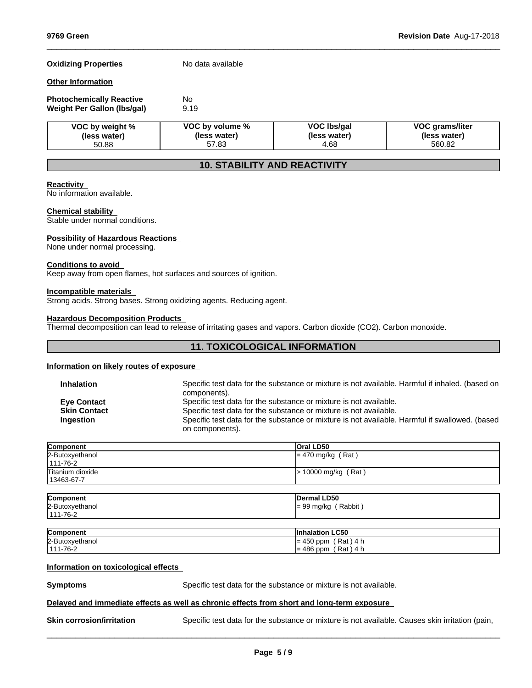## **Oxidizing Properties** No data available

#### **Other Information**

| <b>Photochemically Reactive</b> | No   |
|---------------------------------|------|
| Weight Per Gallon (Ibs/gal)     | 9.19 |

| VOC by weight % | VOC by volume % | VOC Ibs/gal  | <b>VOC grams/liter</b> |
|-----------------|-----------------|--------------|------------------------|
| (less water)    | (less water)    | (less water) | (less water)           |
| 50.88           | 57.83           | 4.68         | 560.82                 |

 $\_$  ,  $\_$  ,  $\_$  ,  $\_$  ,  $\_$  ,  $\_$  ,  $\_$  ,  $\_$  ,  $\_$  ,  $\_$  ,  $\_$  ,  $\_$  ,  $\_$  ,  $\_$  ,  $\_$  ,  $\_$  ,  $\_$  ,  $\_$  ,  $\_$  ,  $\_$  ,  $\_$  ,  $\_$  ,  $\_$  ,  $\_$  ,  $\_$  ,  $\_$  ,  $\_$  ,  $\_$  ,  $\_$  ,  $\_$  ,  $\_$  ,  $\_$  ,  $\_$  ,  $\_$  ,  $\_$  ,  $\_$  ,  $\_$  ,

# **10. STABILITY AND REACTIVITY**

#### **Reactivity**

No information available.

#### **Chemical stability**

Stable under normal conditions.

#### **Possibility of Hazardous Reactions**

None under normal processing.

#### **Conditions to avoid**

Keep away from open flames, hot surfaces and sources of ignition.

#### **Incompatible materials**

Strong acids. Strong bases. Strong oxidizing agents. Reducing agent.

#### **Hazardous Decomposition Products**

Thermal decomposition can lead to release of irritating gases and vapors. Carbon dioxide (CO2). Carbon monoxide.

# **11. TOXICOLOGICAL INFORMATION**

#### **Information on likely routes of exposure**

| <b>Inhalation</b>                                      | Specific test data for the substance or mixture is not available. Harmful if inhaled. (based on<br>components).                                                                                                                                             |
|--------------------------------------------------------|-------------------------------------------------------------------------------------------------------------------------------------------------------------------------------------------------------------------------------------------------------------|
| <b>Eve Contact</b><br><b>Skin Contact</b><br>Ingestion | Specific test data for the substance or mixture is not available.<br>Specific test data for the substance or mixture is not available.<br>Specific test data for the substance or mixture is not available. Harmful if swallowed. (based<br>on components). |

| Component        | <b>Oral LD50</b>      |
|------------------|-----------------------|
| 2-Butoxyethanol  | $= 470$ mg/kg (Rat)   |
| $111 - 76 - 2$   |                       |
| Titanium dioxide | $> 10000$ mg/kg (Rat) |
| 13463-67-7       |                       |

| Component       | Dermal LD50                                                   |
|-----------------|---------------------------------------------------------------|
| 2-Butoxyethanol | Rabbit<br>$\sim$<br>) mg/kg<br>ືອອ<br>−<br>$\cdot$<br>$\cdot$ |
| ' 111-76-2      |                                                               |

| Component              | <b>LC50</b><br>lln<br>™uaiation.                                             |
|------------------------|------------------------------------------------------------------------------|
| 2-Butoxy<br>ำxvethanoı | Rat<br>$ \sim$<br>1 <sub>5</sub><br>nnm<br>$\mathbf{A}$<br>-<br>ຯ∪ບ<br>ווער. |
| 1-76-2<br>444          | Rat<br>486<br>nnm<br>≔<br>ווועע י<br>. .                                     |

## **Information on toxicological effects**

**Symptoms** Specific test data for the substance or mixture is not available.

#### **Delayed and immediate effects as well as chronic effects from short and long-term exposure**

**Skin corrosion/irritation** Specific test data for the substance or mixture is not available. Causes skin irritation (pain,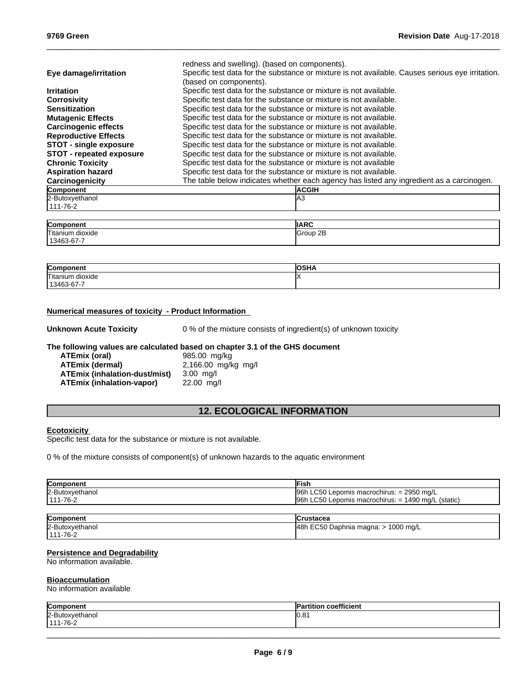|                                 | redness and swelling). (based on components).                                                                              |
|---------------------------------|----------------------------------------------------------------------------------------------------------------------------|
| Eye damage/irritation           | Specific test data for the substance or mixture is not available. Causes serious eye irritation.<br>(based on components). |
| <b>Irritation</b>               | Specific test data for the substance or mixture is not available.                                                          |
| <b>Corrosivity</b>              | Specific test data for the substance or mixture is not available.                                                          |
| <b>Sensitization</b>            | Specific test data for the substance or mixture is not available.                                                          |
| <b>Mutagenic Effects</b>        | Specific test data for the substance or mixture is not available.                                                          |
| <b>Carcinogenic effects</b>     | Specific test data for the substance or mixture is not available.                                                          |
| <b>Reproductive Effects</b>     | Specific test data for the substance or mixture is not available.                                                          |
| <b>STOT - single exposure</b>   | Specific test data for the substance or mixture is not available.                                                          |
| <b>STOT - repeated exposure</b> | Specific test data for the substance or mixture is not available.                                                          |
| <b>Chronic Toxicity</b>         | Specific test data for the substance or mixture is not available                                                           |
| <b>Aspiration hazard</b>        | Specific test data for the substance or mixture is not available.                                                          |
| Carcinogenicity                 | The table below indicates whether each agency has listed any ingredient as a carcinogen.                                   |
| Component                       | <b>ACGIH</b>                                                                                                               |
| 2-Butoxyethanol                 | IA3                                                                                                                        |
| 111-76-2                        |                                                                                                                            |

 $\_$  ,  $\_$  ,  $\_$  ,  $\_$  ,  $\_$  ,  $\_$  ,  $\_$  ,  $\_$  ,  $\_$  ,  $\_$  ,  $\_$  ,  $\_$  ,  $\_$  ,  $\_$  ,  $\_$  ,  $\_$  ,  $\_$  ,  $\_$  ,  $\_$  ,  $\_$  ,  $\_$  ,  $\_$  ,  $\_$  ,  $\_$  ,  $\_$  ,  $\_$  ,  $\_$  ,  $\_$  ,  $\_$  ,  $\_$  ,  $\_$  ,  $\_$  ,  $\_$  ,  $\_$  ,  $\_$  ,  $\_$  ,  $\_$  ,

| Component<br>1161 I I                    | <b>IIARC</b>       |
|------------------------------------------|--------------------|
| Titanium<br>dioxide                      | 2B<br><b>Group</b> |
| --<br>3-67-1<br>$11346^\circ$<br>$\cdot$ |                    |

| Component            | <b>IOCUA</b> |
|----------------------|--------------|
| Titanium<br>dioxide  |              |
| 13463<br>.o.s-b/ - / |              |

## **Numerical measures of toxicity - Product Information**

**Unknown Acute Toxicity** 0 % of the mixture consists of ingredient(s) of unknown toxicity

# **The following values are calculated based on chapter 3.1 of the GHS document**

**ATEmix (oral)** 985.00 mg/kg **ATEmix (dermal)**2,166.00 mg/kg mg/l **ATEmix (inhalation-dust/mist)** 3.00 mg/l **ATEmix (inhalation-vapor)** 22.00 mg/l

# **12. ECOLOGICAL INFORMATION**

#### **Ecotoxicity**

Specific test data for the substance or mixture is not available.

0 % of the mixture consists of component(s) of unknown hazards to the aquatic environment

| Component       | -ish                                                             |
|-----------------|------------------------------------------------------------------|
| 2-Butoxyethanol | $96h$ LC50 Lepomis macrochirus: = 2950 mg/L                      |
| 111-76-2        | Lepomis macrochirus: = 1490 mg/L<br><b>196h LC50</b><br>(static) |

| Component       | <b>ICrustacea</b>                     |
|-----------------|---------------------------------------|
| 2-Butoxyethanol | 48h EC50 Daphnia magna: $> 1000$ mg/L |
| 111-76-2        |                                       |

#### **Persistence and Degradability**

No information available.

#### **Bioaccumulation**

No information available

| Componen<br>1161 I L | coefficient |
|----------------------|-------------|
| 2-Butoxyethanol      | [0.8]       |
| $111 - 76 - 2$       |             |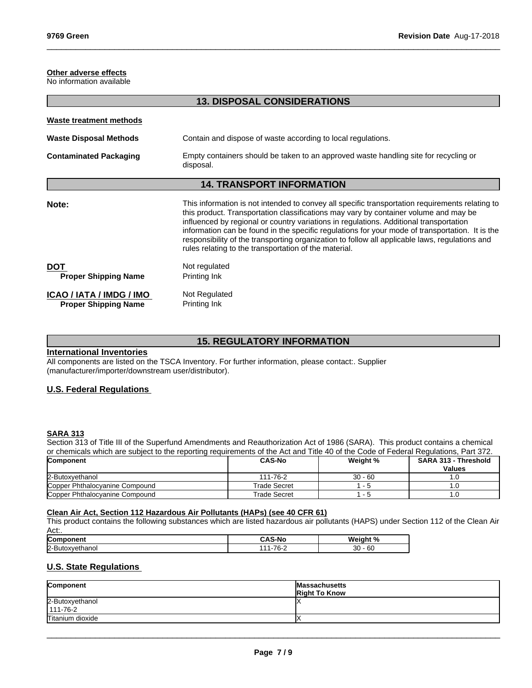# **Other adverse effects**

No information available

| <b>13. DISPOSAL CONSIDERATIONS</b>                      |                                                                                                                                                                                                                                                                                                                                                                                                                                                                                                                                                 |
|---------------------------------------------------------|-------------------------------------------------------------------------------------------------------------------------------------------------------------------------------------------------------------------------------------------------------------------------------------------------------------------------------------------------------------------------------------------------------------------------------------------------------------------------------------------------------------------------------------------------|
| Waste treatment methods                                 |                                                                                                                                                                                                                                                                                                                                                                                                                                                                                                                                                 |
| <b>Waste Disposal Methods</b>                           | Contain and dispose of waste according to local regulations.                                                                                                                                                                                                                                                                                                                                                                                                                                                                                    |
| <b>Contaminated Packaging</b>                           | Empty containers should be taken to an approved waste handling site for recycling or<br>disposal.                                                                                                                                                                                                                                                                                                                                                                                                                                               |
|                                                         | <b>14. TRANSPORT INFORMATION</b>                                                                                                                                                                                                                                                                                                                                                                                                                                                                                                                |
| Note:                                                   | This information is not intended to convey all specific transportation requirements relating to<br>this product. Transportation classifications may vary by container volume and may be<br>influenced by regional or country variations in regulations. Additional transportation<br>information can be found in the specific regulations for your mode of transportation. It is the<br>responsibility of the transporting organization to follow all applicable laws, regulations and<br>rules relating to the transportation of the material. |
| <b>DOT</b><br><b>Proper Shipping Name</b>               | Not regulated<br>Printing Ink                                                                                                                                                                                                                                                                                                                                                                                                                                                                                                                   |
| ICAO / IATA / IMDG / IMO<br><b>Proper Shipping Name</b> | Not Regulated<br>Printing Ink                                                                                                                                                                                                                                                                                                                                                                                                                                                                                                                   |
|                                                         |                                                                                                                                                                                                                                                                                                                                                                                                                                                                                                                                                 |

 $\_$  ,  $\_$  ,  $\_$  ,  $\_$  ,  $\_$  ,  $\_$  ,  $\_$  ,  $\_$  ,  $\_$  ,  $\_$  ,  $\_$  ,  $\_$  ,  $\_$  ,  $\_$  ,  $\_$  ,  $\_$  ,  $\_$  ,  $\_$  ,  $\_$  ,  $\_$  ,  $\_$  ,  $\_$  ,  $\_$  ,  $\_$  ,  $\_$  ,  $\_$  ,  $\_$  ,  $\_$  ,  $\_$  ,  $\_$  ,  $\_$  ,  $\_$  ,  $\_$  ,  $\_$  ,  $\_$  ,  $\_$  ,  $\_$  ,

# **15. REGULATORY INFORMATION**

#### **International Inventories**

All components are listed on the TSCA Inventory. For further information, please contact:. Supplier (manufacturer/importer/downstream user/distributor).

# **U.S. Federal Regulations**

#### **SARA 313**

Section 313 of Title III of the Superfund Amendments and Reauthorization Act of 1986 (SARA). This product contains a chemical or chemicals which are subject to the reporting requirements of the Act and Title 40 of the Code of Federal Regulations, Part 372.

| Component                      | <b>CAS-No</b> | Weight %     | <b>SARA 313 - Threshold</b> |
|--------------------------------|---------------|--------------|-----------------------------|
|                                |               |              | <b>Values</b>               |
| 2-Butoxyethanol                | 111-76-2      | $30 - 60$    |                             |
| Copper Phthalocyanine Compound | Trade Secret  | - 0          |                             |
| Copper Phthalocyanine Compound | Trade Secret  | . . <b>.</b> |                             |

#### **Clean Air Act,Section 112 Hazardous Air Pollutants (HAPs) (see 40 CFR 61)**

This product contains the following substances which are listed hazardous air pollutants (HAPS) under Section 112 of the Clean Air Act:.

| <b>Com</b>     | .<br>S-NC | W.<br>-- -         |
|----------------|-----------|--------------------|
| 2-But<br>nanoi | 70<br>ັັ  | $\sim$<br>30<br>ାପ |

# **U.S. State Regulations**

| Component                         | Massachusetts<br><b>Right To Know</b> |
|-----------------------------------|---------------------------------------|
| 2-Butoxyethanol<br>$111 - 76 - 2$ |                                       |
| Titanium dioxide                  |                                       |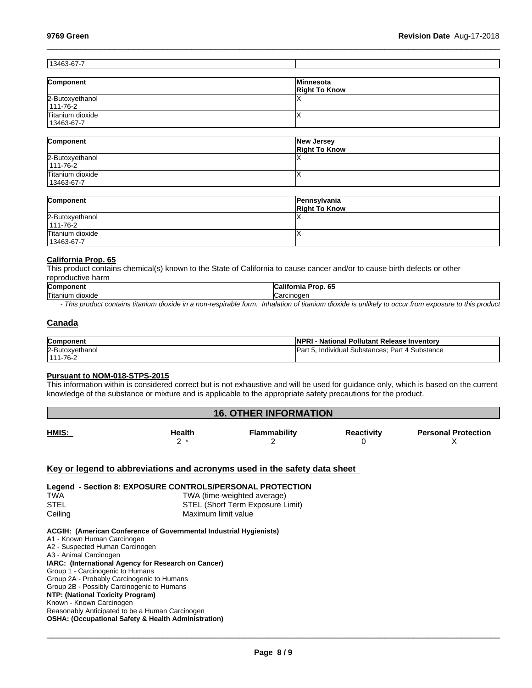# 13463-67-7

| Component        | lMinnesota           |
|------------------|----------------------|
|                  | <b>Right To Know</b> |
| 2-Butoxyethanol  |                      |
| $111 - 76 - 2$   |                      |
| Titanium dioxide |                      |
| 13463-67-7       |                      |

 $\_$  ,  $\_$  ,  $\_$  ,  $\_$  ,  $\_$  ,  $\_$  ,  $\_$  ,  $\_$  ,  $\_$  ,  $\_$  ,  $\_$  ,  $\_$  ,  $\_$  ,  $\_$  ,  $\_$  ,  $\_$  ,  $\_$  ,  $\_$  ,  $\_$  ,  $\_$  ,  $\_$  ,  $\_$  ,  $\_$  ,  $\_$  ,  $\_$  ,  $\_$  ,  $\_$  ,  $\_$  ,  $\_$  ,  $\_$  ,  $\_$  ,  $\_$  ,  $\_$  ,  $\_$  ,  $\_$  ,  $\_$  ,  $\_$  ,

| Component        | New Jersey<br><b>Right To Know</b> |
|------------------|------------------------------------|
| 2-Butoxyethanol  |                                    |
| 111-76-2         |                                    |
| Titanium dioxide |                                    |
| 13463-67-7       |                                    |

| Component                         | Pennsylvania<br><b>Right To Know</b> |
|-----------------------------------|--------------------------------------|
| 2-Butoxyethanol<br>$111 - 76 - 2$ |                                      |
| Titanium dioxide                  |                                      |
| 13463-67-7                        |                                      |

#### **California Prop. 65**

This product contains chemical(s) known to the State of California to cause cancer and/or to cause birth defects or other reproductive harm

| <b>Com</b><br>11 C I I     | ---<br><br>ю.<br> |
|----------------------------|-------------------|
| <b>Titaniur</b><br>dioxide | - - - - - -       |
|                            |                   |

*- This product contains titanium dioxide in a non-respirable form. Inhalation of titanium dioxide is unlikely to occur from exposure to this product*

# **Canada**

| <b>Component</b> | <b>INPF</b><br>- National Pollutant Release Inventory |
|------------------|-------------------------------------------------------|
| 2-Butoxyethanol  | Part 4 Substance<br>. Individual Substances:<br>IP۵.  |
| $1111 - 76 - 2$  |                                                       |

#### **Pursuant to NOM-018-STPS-2015**

This information within isconsidered correct but is not exhaustive and will be used for guidance only, which is based on the current knowledge of the substance or mixture and is applicable to the appropriate safety precautions for the product.

| <b>16. OTHER INFORMATION</b> |        |              |                   |                            |
|------------------------------|--------|--------------|-------------------|----------------------------|
| <b>HMIS:</b>                 | Health | Flammability | <b>Reactivity</b> | <b>Personal Protection</b> |

# **Key or legend to abbreviations and acronyms used in the safety data sheet**

| Legend - Section 8: EXPOSURE CONTROLS/PERSONAL PROTECTION |                                  |  |  |
|-----------------------------------------------------------|----------------------------------|--|--|
| <b>TWA</b>                                                | TWA (time-weighted average)      |  |  |
| STEL                                                      | STEL (Short Term Exposure Limit) |  |  |
| Ceiling                                                   | Maximum limit value              |  |  |

#### **ACGIH: (American Conference of Governmental Industrial Hygienists)**

A1 - Known Human Carcinogen A2 - Suspected Human Carcinogen A3 - Animal Carcinogen **IARC: (International Agency for Research on Cancer)** Group 1 - Carcinogenic to Humans Group 2A - Probably Carcinogenic to Humans Group 2B - Possibly Carcinogenic to Humans **NTP: (National Toxicity Program)** Known - Known Carcinogen Reasonably Anticipated to be a Human Carcinogen **OSHA: (Occupational Safety & Health Administration)**